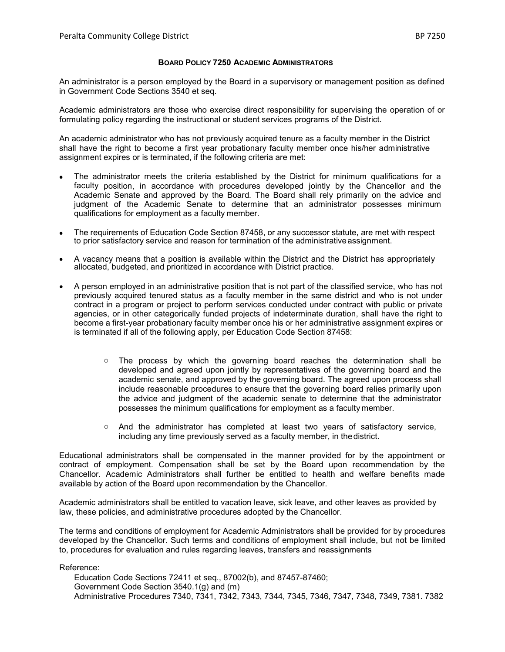## **BOARD POLICY 7250 ACADEMIC ADMINISTRATORS**

An administrator is a person employed by the Board in a supervisory or management position as defined in Government Code Sections 3540 et seq.

Academic administrators are those who exercise direct responsibility for supervising the operation of or formulating policy regarding the instructional or student services programs of the District.

An academic administrator who has not previously acquired tenure as a faculty member in the District shall have the right to become a first year probationary faculty member once his/her administrative assignment expires or is terminated, if the following criteria are met:

- The administrator meets the criteria established by the District for minimum qualifications for a faculty position, in accordance with procedures developed jointly by the Chancellor and the Academic Senate and approved by the Board*.* The Board shall rely primarily on the advice and iudament of the Academic Senate to determine that an administrator possesses minimum qualifications for employment as a faculty member.
- The requirements of Education Code Section 87458, or any successor statute, are met with respect to prior satisfactory service and reason for termination of the administrativeassignment.
- A vacancy means that a position is available within the District and the District has appropriately allocated, budgeted, and prioritized in accordance with District practice.
- A person employed in an administrative position that is not part of the classified service, who has not previously acquired tenured status as a faculty member in the same district and who is not under contract in a program or project to perform services conducted under contract with public or private agencies, or in other categorically funded projects of indeterminate duration, shall have the right to become a first-year probationary faculty member once his or her administrative assignment expires or is terminated if all of the following apply, per Education Code Section 87458:
	- $\circ$  The process by which the governing board reaches the determination shall be developed and agreed upon jointly by representatives of the governing board and the academic senate, and approved by the governing board. The agreed upon process shall include reasonable procedures to ensure that the governing board relies primarily upon the advice and judgment of the academic senate to determine that the administrator possesses the minimum qualifications for employment as a faculty member.
	- o And the administrator has completed at least two years of satisfactory service, including any time previously served as a faculty member, in thedistrict.

Educational administrators shall be compensated in the manner provided for by the appointment or contract of employment*.* Compensation shall be set by the Board upon recommendation by the Chancellor*.* Academic Administrators shall further be entitled to health and welfare benefits made available by action of the Board upon recommendation by the Chancellor.

Academic administrators shall be entitled to vacation leave, sick leave, and other leaves as provided by law, these policies, and administrative procedures adopted by the Chancellor.

The terms and conditions of employment for Academic Administrators shall be provided for by procedures developed by the Chancellor*.* Such terms and conditions of employment shall include, but not be limited to, procedures for evaluation and rules regarding leaves, transfers and reassignments

Reference:

Education Code Sections 72411 et seq., 87002(b), and 87457-87460; Government Code Section 3540.1(g) and (m) Administrative Procedures 7340, 7341, 7342, 7343, 7344, 7345, 7346, 7347, 7348, 7349, 7381. 7382